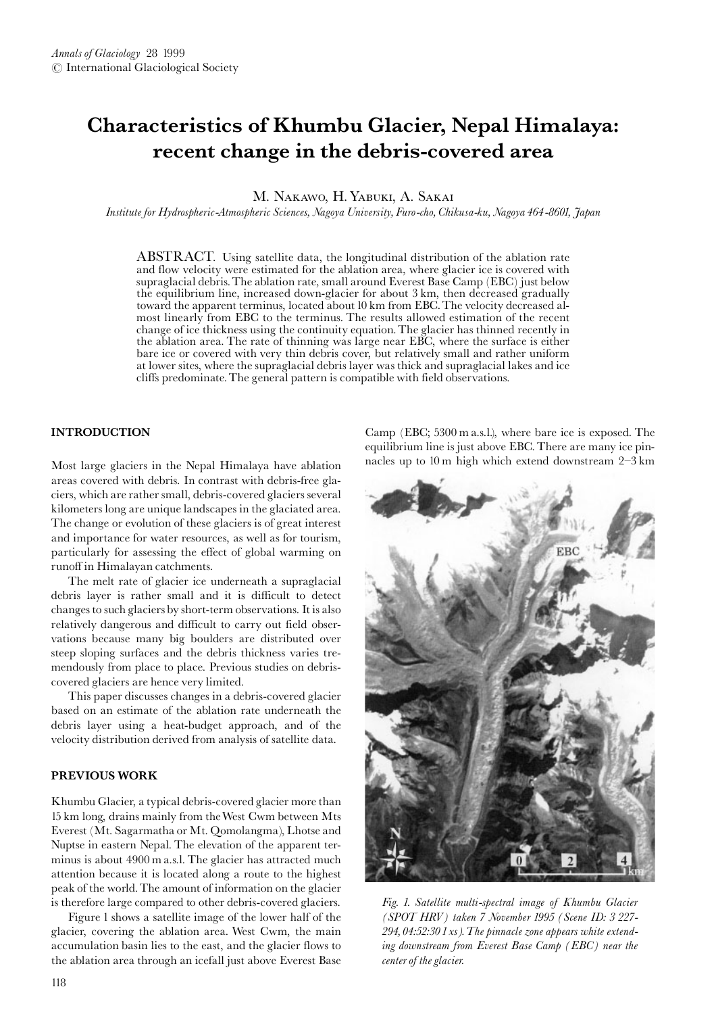# **Characteristics of Khumbu Glacier, Nepal Himalaya:** recent change in the debris-covered area

M. NAKAWO, H. YABUKI, A. SAKAI

Institute for Hydrospheric-Atmospheric Sciences, Nagoya University, Furo-cho, Chikusa-ku, Nagoya 464-8601, Japan

**ABSTRACT.** Using satellite data, the longitudinal distribution of the ablation rate and flow velocity were estimated for the ablation area, where glacier ice is covered with supraglacial debris. The ablation rate, small around Everest Base Camp (EBC) just below the equilibrium line, increased down-glacier for about 3 km, then decreased gradually toward the apparent terminus, located about 10 km from EBC. The velocity decreased almost linearly from EBC to the terminus. The results allowed estimation of the recent change of ice thickness using the continuity equation. The glacier has thinned recently in the ablation area. The rate of thinning was large near EBC, where the surface is either bare ice or covered with very thin debris cover, but relatively small and rather uniform at lower sites, where the supraglacial debris layer was thick and supraglacial lakes and ice cliffs predominate. The general pattern is compatible with field observations.

# **INTRODUCTION**

Most large glaciers in the Nepal Himalaya have ablation areas covered with debris. In contrast with debris-free glaciers, which are rather small, debris-covered glaciers several kilometers long are unique landscapes in the glaciated area. The change or evolution of these glaciers is of great interest and importance for water resources, as well as for tourism, particularly for assessing the effect of global warming on runoff in Himalayan catchments.

The melt rate of glacier ice underneath a supraglacial debris layer is rather small and it is difficult to detect changes to such glaciers by short-term observations. It is also relatively dangerous and difficult to carry out field observations because many big boulders are distributed over steep sloping surfaces and the debris thickness varies tremendously from place to place. Previous studies on debriscovered glaciers are hence very limited.

This paper discusses changes in a debris-covered glacier based on an estimate of the ablation rate underneath the debris layer using a heat-budget approach, and of the velocity distribution derived from analysis of satellite data.

# **PREVIOUS WORK**

Khumbu Glacier, a typical debris-covered glacier more than 15 km long, drains mainly from the West Cwm between Mts Everest (Mt. Sagarmatha or Mt. Qomolangma), Lhotse and Nuptse in eastern Nepal. The elevation of the apparent terminus is about 4900 m a.s.l. The glacier has attracted much attention because it is located along a route to the highest peak of the world. The amount of information on the glacier is therefore large compared to other debris-covered glaciers.

Figure 1 shows a satellite image of the lower half of the glacier, covering the ablation area. West Cwm, the main accumulation basin lies to the east, and the glacier flows to the ablation area through an icefall just above Everest Base

Camp (EBC; 5300 m a.s.l.), where bare ice is exposed. The equilibrium line is just above EBC. There are many ice pinnacles up to 10 m high which extend downstream 2-3 km



Fig. 1. Satellite multi-spectral image of Khumbu Glacier (SPOT HRV) taken 7 November 1995 (Scene ID: 3 227-294, 04:52:30 1 xs). The pinnacle zone appears white extending downstream from Everest Base Camp (EBC) near the center of the glacier.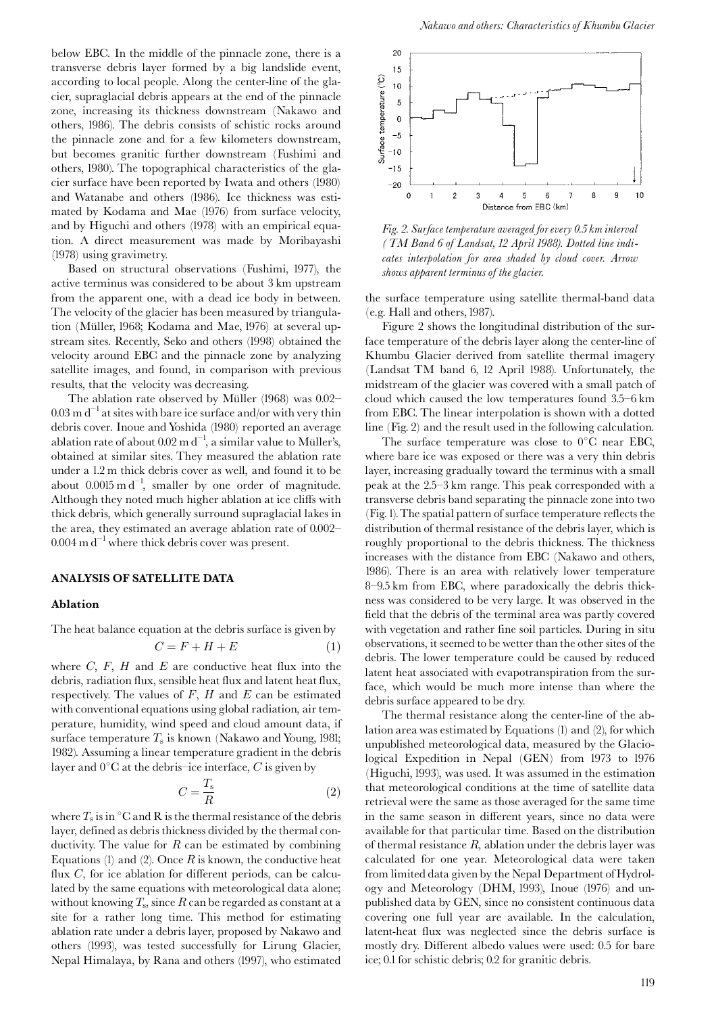below EBC. In the middle of the pinnacle zone, there is a transverse debris layer formed by a big landslide event, according to local people. Along the center-line of the glacier, supraglacial debris appears at the end of the pinnacle zone, increasing its thickness downstream (Nakawo and others, 1986). The debris consists of schistic rocks around the pinnacle zone and for a few kilometers downstream, but becomes granitic further downstream (Fushimi and others, 1980). The topographical characteristics of the glacier surface have been reported by Iwata and others (1980) and Watanabe and others (1986). Ice thickness was estimated by Kodama and Mae (1976) from surface velocity, and by Higuchi and others (1978) with an empirical equation. A direct measurement was made by Moribayashi  $(1978)$  using gravimetry.

Based on structural observations (Fushimi, 1977), the active terminus was considered to be about 3 km upstream from the apparent one, with a dead ice body in between. The velocity of the glacier has been measured by triangulation (Müller, 1968; Kodama and Mae, 1976) at several upstream sites. Recently, Seko and others (1998) obtained the velocity around EBC and the pinnacle zone by analyzing satellite images, and found, in comparison with previous results, that the velocity was decreasing.

The ablation rate observed by Müller (1968) was 0.02- $0.03$  m d<sup>-1</sup> at sites with bare ice surface and/or with very thin debris cover. Inoue and Yoshida (1980) reported an average ablation rate of about 0.02 m  $d^{-1}$ , a similar value to Müller's, obtained at similar sites. They measured the ablation rate under a 1.2 m thick debris cover as well, and found it to be about  $0.0015 \text{ m d}^{-1}$ , smaller by one order of magnitude. Although they noted much higher ablation at ice cliffs with thick debris, which generally surround supraglacial lakes in the area, they estimated an average ablation rate of 0.002- $0.004$  m d<sup>-1</sup> where thick debris cover was present.

#### ANALYSIS OF SATELLITE DATA

## Ablation

The heat balance equation at the debris surface is given by

$$
C = F + H + E \tag{1}
$$

where  $C, F, H$  and  $E$  are conductive heat flux into the debris, radiation flux, sensible heat flux and latent heat flux, respectively. The values of  $F$ ,  $H$  and  $E$  can be estimated with conventional equations using global radiation, air temperature, humidity, wind speed and cloud amount data, if surface temperature  $T_s$  is known (Nakawo and Young, 1981; 1982). Assuming a linear temperature gradient in the debris layer and  $0^{\circ}$ C at the debris-ice interface, C is given by

$$
C = \frac{T_s}{R} \tag{2}
$$

where  $T_s$  is in  ${}^{\circ}$ C and R is the thermal resistance of the debris layer, defined as debris thickness divided by the thermal conductivity. The value for  $R$  can be estimated by combining Equations (1) and (2). Once  $R$  is known, the conductive heat flux  $C$ , for ice ablation for different periods, can be calculated by the same equations with meteorological data alone; without knowing  $T_s$ , since  $R$  can be regarded as constant at a site for a rather long time. This method for estimating ablation rate under a debris layer, proposed by Nakawo and others (1993), was tested successfully for Lirung Glacier, Nepal Himalaya, by Rana and others (1997), who estimated



Fig. 2. Surface temperature averaged for every 0.5 km interval (TM Band 6 of Landsat, 12 April 1988). Dotted line indicates interpolation for area shaded by cloud cover. Arrow shows apparent terminus of the glacier.

the surface temperature using satellite thermal-band data (e.g. Hall and others, 1987).

Figure 2 shows the longitudinal distribution of the surface temperature of the debris layer along the center-line of Khumbu Glacier derived from satellite thermal imagery (Landsat TM band 6, 12 April 1988). Unfortunately, the midstream of the glacier was covered with a small patch of cloud which caused the low temperatures found 3.5-6 km from EBC. The linear interpolation is shown with a dotted line (Fig. 2) and the result used in the following calculation.

The surface temperature was close to  $0^{\circ}$ C near EBC, where bare ice was exposed or there was a very thin debris layer, increasing gradually toward the terminus with a small peak at the 2.5-3 km range. This peak corresponded with a transverse debris band separating the pinnacle zone into two (Fig. 1). The spatial pattern of surface temperature reflects the distribution of thermal resistance of the debris layer, which is roughly proportional to the debris thickness. The thickness increases with the distance from EBC (Nakawo and others, 1986). There is an area with relatively lower temperature 8-9.5 km from EBC, where paradoxically the debris thickness was considered to be very large. It was observed in the field that the debris of the terminal area was partly covered with vegetation and rather fine soil particles. During in situ observations, it seemed to be wetter than the other sites of the debris. The lower temperature could be caused by reduced latent heat associated with evapotranspiration from the surface, which would be much more intense than where the debris surface appeared to be dry.

The thermal resistance along the center-line of the ablation area was estimated by Equations (1) and (2), for which unpublished meteorological data, measured by the Glaciological Expedition in Nepal (GEN) from 1973 to 1976 (Higuchi, 1993), was used. It was assumed in the estimation that meteorological conditions at the time of satellite data retrieval were the same as those averaged for the same time in the same season in different years, since no data were available for that particular time. Based on the distribution of thermal resistance  $R$ , ablation under the debris layer was calculated for one year. Meteorological data were taken from limited data given by the Nepal Department of Hydrology and Meteorology (DHM, 1993), Inoue (1976) and unpublished data by GEN, since no consistent continuous data covering one full year are available. In the calculation, latent-heat flux was neglected since the debris surface is mostly dry. Different albedo values were used: 0.5 for bare ice; 0.1 for schistic debris; 0.2 for granitic debris.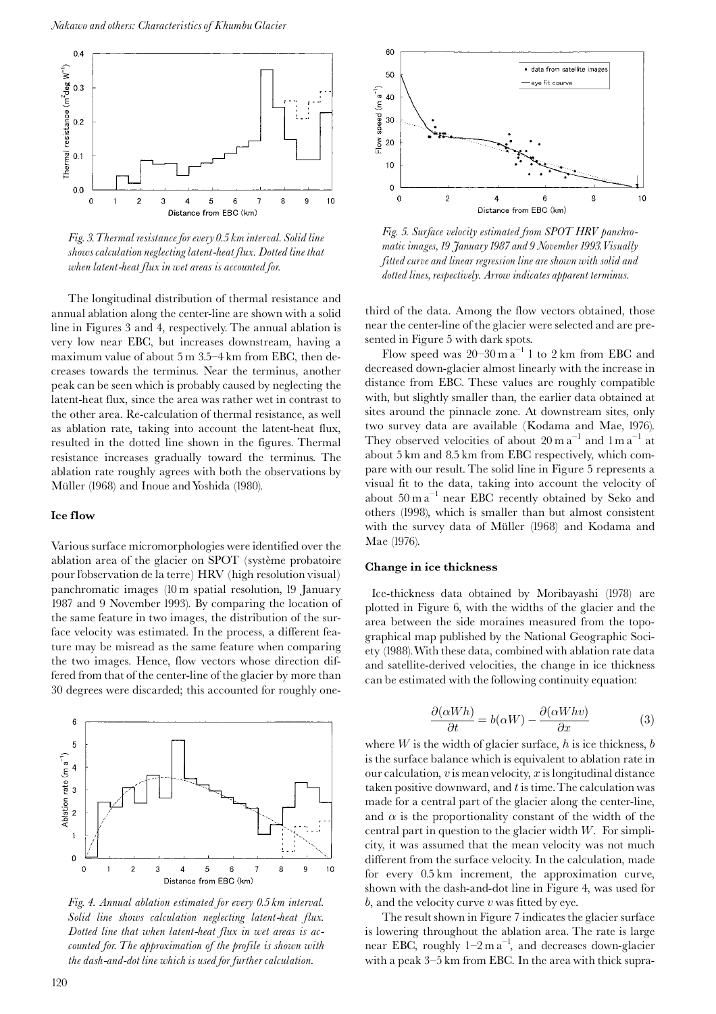

Fig. 3. Thermal resistance for every 0.5 km interval. Solid line shows calculation neglecting latent-heat flux. Dotted line that when latent-heat flux in wet areas is accounted for.

The longitudinal distribution of thermal resistance and annual ablation along the center-line are shown with a solid line in Figures 3 and 4, respectively. The annual ablation is very low near EBC, but increases downstream, having a maximum value of about 5 m 3.5-4 km from EBC, then decreases towards the terminus. Near the terminus, another peak can be seen which is probably caused by neglecting the latent-heat flux, since the area was rather wet in contrast to the other area. Re-calculation of thermal resistance, as well as ablation rate, taking into account the latent-heat flux, resulted in the dotted line shown in the figures. Thermal resistance increases gradually toward the terminus. The ablation rate roughly agrees with both the observations by Müller (1968) and Inoue and Yoshida (1980).

#### Ice flow

Various surface micromorphologies were identified over the ablation area of the glacier on SPOT (système probatoire pour l'observation de la terre) HRV (high resolution visual) panchromatic images (10 m spatial resolution, 19 January 1987 and 9 November 1993). By comparing the location of the same feature in two images, the distribution of the surface velocity was estimated. In the process, a different feature may be misread as the same feature when comparing the two images. Hence, flow vectors whose direction differed from that of the center-line of the glacier by more than 30 degrees were discarded; this accounted for roughly one-



Fig. 4. Annual ablation estimated for every 0.5 km interval. Solid line shows calculation neglecting latent-heat flux. Dotted line that when latent-heat flux in wet areas is accounted for. The approximation of the profile is shown with the dash-and-dot line which is used for further calculation.



Fig. 5. Surface velocity estimated from SPOT HRV panchromatic images, 19 January 1987 and 9 November 1993. Visually fitted curve and linear regression line are shown with solid and dotted lines, respectively. Arrow indicates apparent terminus.

third of the data. Among the flow vectors obtained, those near the center-line of the glacier were selected and are presented in Figure 5 with dark spots.

Flow speed was  $20-30$  m  $a^{-1}$  1 to 2 km from EBC and decreased down-glacier almost linearly with the increase in distance from EBC. These values are roughly compatible with, but slightly smaller than, the earlier data obtained at sites around the pinnacle zone. At downstream sites, only two survey data are available (Kodama and Mae, 1976). They observed velocities of about  $20 \text{ m a}^{-1}$  and  $1 \text{ m a}^{-1}$  at about 5 km and 8.5 km from EBC respectively, which compare with our result. The solid line in Figure 5 represents a visual fit to the data, taking into account the velocity of about  $50 \text{ m a}^{-1}$  near EBC recently obtained by Seko and others (1998), which is smaller than but almost consistent with the survey data of Müller (1968) and Kodama and Mae (1976).

## Change in ice thickness

Ice-thickness data obtained by Moribayashi (1978) are plotted in Figure 6, with the widths of the glacier and the area between the side moraines measured from the topographical map published by the National Geographic Society (1988). With these data, combined with ablation rate data and satellite-derived velocities, the change in ice thickness can be estimated with the following continuity equation:

$$
\frac{\partial(\alpha Wh)}{\partial t} = b(\alpha W) - \frac{\partial(\alpha Whv)}{\partial x}
$$
(3)

where  $W$  is the width of glacier surface,  $h$  is ice thickness,  $b$ is the surface balance which is equivalent to ablation rate in our calculation,  $v$  is mean velocity,  $x$  is longitudinal distance taken positive downward, and  $t$  is time. The calculation was made for a central part of the glacier along the center-line, and  $\alpha$  is the proportionality constant of the width of the central part in question to the glacier width  $W$ . For simplicity, it was assumed that the mean velocity was not much different from the surface velocity. In the calculation, made for every 0.5 km increment, the approximation curve, shown with the dash-and-dot line in Figure 4, was used for  $b$ , and the velocity curve  $v$  was fitted by eye.

The result shown in Figure 7 indicates the glacier surface is lowering throughout the ablation area. The rate is large near EBC, roughly 1-2 m a<sup>-1</sup>, and decreases down-glacier with a peak 3-5 km from EBC. In the area with thick supra-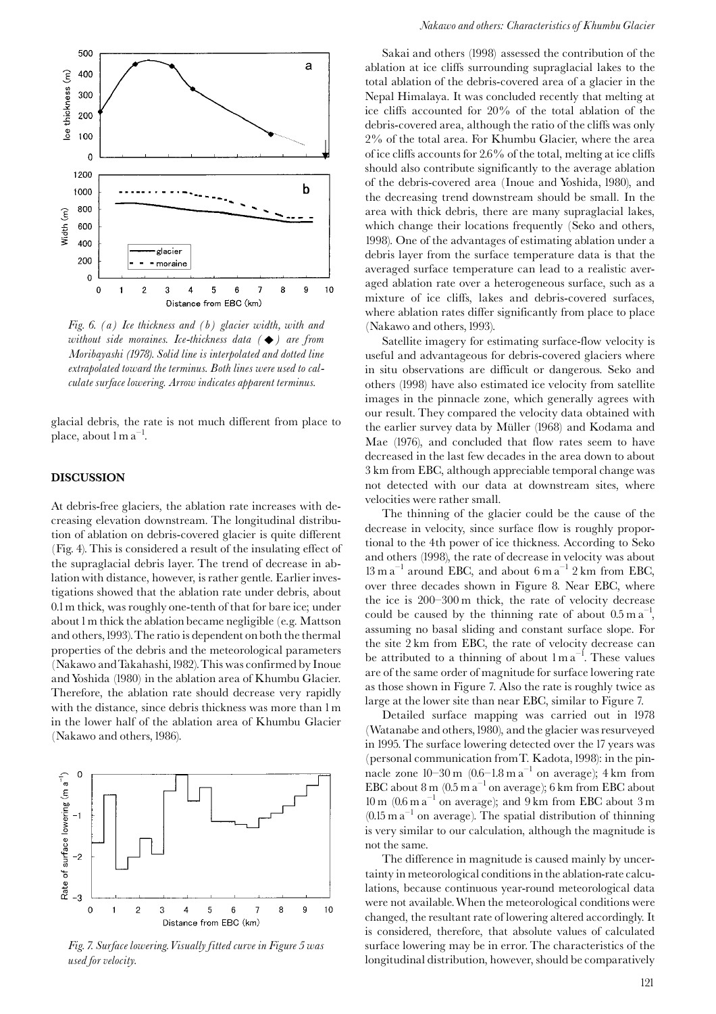

Fig. 6. (a) Ice thickness and (b) glacier width, with and without side moraines. Ice-thickness data  $(\triangle)$  are from Moribayashi (1978). Solid line is interpolated and dotted line extrapolated toward the terminus. Both lines were used to calculate surface lowering. Arrow indicates apparent terminus.

glacial debris, the rate is not much different from place to place, about  $1 \text{ m a}^{-1}$ 

## **DISCUSSION**

At debris-free glaciers, the ablation rate increases with decreasing elevation downstream. The longitudinal distribution of ablation on debris-covered glacier is quite different (Fig. 4). This is considered a result of the insulating effect of the supraglacial debris layer. The trend of decrease in ablation with distance, however, is rather gentle. Earlier investigations showed that the ablation rate under debris, about 0.1 m thick, was roughly one-tenth of that for bare ice; under about 1 m thick the ablation became negligible (e.g. Mattson and others, 1993). The ratio is dependent on both the thermal properties of the debris and the meteorological parameters (Nakawo and Takahashi, 1982). This was confirmed by Inoue and Yoshida (1980) in the ablation area of Khumbu Glacier. Therefore, the ablation rate should decrease very rapidly with the distance, since debris thickness was more than 1 m in the lower half of the ablation area of Khumbu Glacier (Nakawo and others, 1986).



Fig. 7. Surface lowering. Visually fitted curve in Figure 5 was used for velocity.

Sakai and others (1998) assessed the contribution of the ablation at ice cliffs surrounding supraglacial lakes to the total ablation of the debris-covered area of a glacier in the Nepal Himalaya. It was concluded recently that melting at ice cliffs accounted for 20% of the total ablation of the debris-covered area, although the ratio of the cliffs was only 2% of the total area. For Khumbu Glacier, where the area of ice cliffs accounts for 2.6% of the total, melting at ice cliffs should also contribute significantly to the average ablation of the debris-covered area (Inoue and Yoshida, 1980), and the decreasing trend downstream should be small. In the area with thick debris, there are many supraglacial lakes, which change their locations frequently (Seko and others, 1998). One of the advantages of estimating ablation under a debris layer from the surface temperature data is that the averaged surface temperature can lead to a realistic averaged ablation rate over a heterogeneous surface, such as a mixture of ice cliffs, lakes and debris-covered surfaces, where ablation rates differ significantly from place to place (Nakawo and others, 1993).

Satellite imagery for estimating surface-flow velocity is useful and advantageous for debris-covered glaciers where in situ observations are difficult or dangerous. Seko and others (1998) have also estimated ice velocity from satellite images in the pinnacle zone, which generally agrees with our result. They compared the velocity data obtained with the earlier survey data by Müller (1968) and Kodama and Mae (1976), and concluded that flow rates seem to have decreased in the last few decades in the area down to about 3 km from EBC, although appreciable temporal change was not detected with our data at downstream sites, where velocities were rather small.

The thinning of the glacier could be the cause of the decrease in velocity, since surface flow is roughly proportional to the 4th power of ice thickness. According to Seko and others (1998), the rate of decrease in velocity was about  $13 \text{ m a}^{-1}$  around EBC, and about  $6 \text{ m a}^{-1}$  2 km from EBC, over three decades shown in Figure 8. Near EBC, where the ice is 200-300 m thick, the rate of velocity decrease could be caused by the thinning rate of about  $0.5 \text{ m a}^{-1}$ , assuming no basal sliding and constant surface slope. For the site 2 km from EBC, the rate of velocity decrease can be attributed to a thinning of about  $1 \text{ m a}^{-1}$ . These values are of the same order of magnitude for surface lowering rate as those shown in Figure 7. Also the rate is roughly twice as large at the lower site than near EBC, similar to Figure 7.

Detailed surface mapping was carried out in 1978 (Watanabe and others, 1980), and the glacier was resurveyed in 1995. The surface lowering detected over the 17 years was (personal communication from T. Kadota, 1998): in the pinnacle zone  $10-30$  m  $(0.6-1.8$  m  $a^{-1}$  on average); 4 km from EBC about 8 m (0.5 m  $a^{-1}$  on average); 6 km from EBC about  $10 \text{ m}$  (0.6 m a<sup>-1</sup> on average); and 9 km from EBC about 3 m  $(0.15 \text{ m a}^{-1}$  on average). The spatial distribution of thinning is very similar to our calculation, although the magnitude is not the same.

The difference in magnitude is caused mainly by uncertainty in meteorological conditions in the ablation-rate calculations, because continuous year-round meteorological data were not available. When the meteorological conditions were changed, the resultant rate of lowering altered accordingly. It is considered, therefore, that absolute values of calculated surface lowering may be in error. The characteristics of the longitudinal distribution, however, should be comparatively